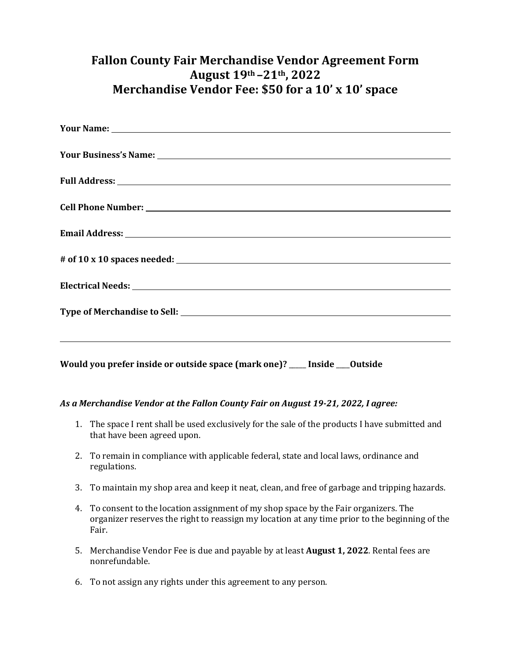## **Fallon County Fair Merchandise Vendor Agreement Form August 19th –21th, 2022 Merchandise Vendor Fee: \$50 for a 10' x 10' space**

| Your Name: 1988 and 2008 and 2008 and 2008 and 2008 and 2008 and 2008 and 2008 and 2008 and 2008 and 2008 and 2008 and 2008 and 2008 and 2008 and 2008 and 2008 and 2008 and 2008 and 2008 and 2008 and 2008 and 2008 and 2008 |
|--------------------------------------------------------------------------------------------------------------------------------------------------------------------------------------------------------------------------------|
|                                                                                                                                                                                                                                |
|                                                                                                                                                                                                                                |
|                                                                                                                                                                                                                                |
|                                                                                                                                                                                                                                |
|                                                                                                                                                                                                                                |
|                                                                                                                                                                                                                                |
|                                                                                                                                                                                                                                |
| <u> 1999 - Johann Harry Harry Harry Harry Harry Harry Harry Harry Harry Harry Harry Harry Harry Harry Harry Harry</u>                                                                                                          |
| Would you prefer inside or outside space (mark one)? __ Inside ___ Outside                                                                                                                                                     |

## *As a Merchandise Vendor at the Fallon County Fair on August 19-21, 2022, I agree:*

- 1. The space I rent shall be used exclusively for the sale of the products I have submitted and that have been agreed upon.
- 2. To remain in compliance with applicable federal, state and local laws, ordinance and regulations.
- 3. To maintain my shop area and keep it neat, clean, and free of garbage and tripping hazards.
- 4. To consent to the location assignment of my shop space by the Fair organizers. The organizer reserves the right to reassign my location at any time prior to the beginning of the Fair.
- 5. Merchandise Vendor Fee is due and payable by at least **August 1, 2022**. Rental fees are nonrefundable.
- 6. To not assign any rights under this agreement to any person.